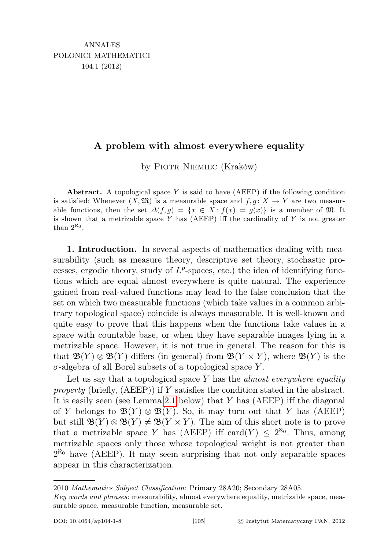## A problem with almost everywhere equality

by PIOTR NIEMIEC (Kraków)

Abstract. A topological space Y is said to have  $(AEEP)$  if the following condition is satisfied: Whenever  $(X, \mathfrak{M})$  is a measurable space and  $f, q: X \rightarrow Y$  are two measurable functions, then the set  $\Delta(f,g) = \{x \in X : f(x) = g(x)\}\$ is a member of M. It is shown that a metrizable space  $Y$  has (AEEP) iff the cardinality of  $Y$  is not greater than  $2^{\aleph_0}$ .

1. Introduction. In several aspects of mathematics dealing with measurability (such as measure theory, descriptive set theory, stochastic processes, ergodic theory, study of  $L^p$ -spaces, etc.) the idea of identifying functions which are equal almost everywhere is quite natural. The experience gained from real-valued functions may lead to the false conclusion that the set on which two measurable functions (which take values in a common arbitrary topological space) coincide is always measurable. It is well-known and quite easy to prove that this happens when the functions take values in a space with countable base, or when they have separable images lying in a metrizable space. However, it is not true in general. The reason for this is that  $\mathfrak{B}(Y) \otimes \mathfrak{B}(Y)$  differs (in general) from  $\mathfrak{B}(Y \times Y)$ , where  $\mathfrak{B}(Y)$  is the  $\sigma$ -algebra of all Borel subsets of a topological space Y.

Let us say that a topological space  $Y$  has the *almost everywhere equality* property (briefly,  $(AEEP)$ ) if Y satisfies the condition stated in the abstract. It is easily seen (see Lemma [2.1](#page-1-0) below) that  $Y$  has (AEEP) iff the diagonal of Y belongs to  $\mathfrak{B}(Y) \otimes \mathfrak{B}(Y)$ . So, it may turn out that Y has (AEEP) but still  $\mathfrak{B}(Y) \otimes \mathfrak{B}(Y) \neq \mathfrak{B}(Y \times Y)$ . The aim of this short note is to prove that a metrizable space Y has (AEEP) iff card(Y)  $\leq 2^{\aleph_0}$ . Thus, among metrizable spaces only those whose topological weight is not greater than  $2^{\aleph_0}$  have (AEEP). It may seem surprising that not only separable spaces appear in this characterization.

2010 Mathematics Subject Classification: Primary 28A20; Secondary 28A05.

Key words and phrases: measurability, almost everywhere equality, metrizable space, measurable space, measurable function, measurable set.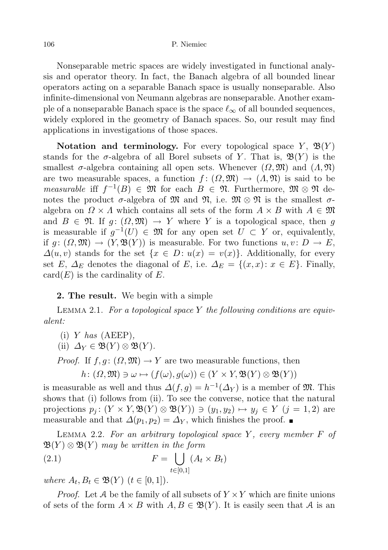Nonseparable metric spaces are widely investigated in functional analysis and operator theory. In fact, the Banach algebra of all bounded linear operators acting on a separable Banach space is usually nonseparable. Also infinite-dimensional von Neumann algebras are nonseparable. Another example of a nonseparable Banach space is the space  $\ell_{\infty}$  of all bounded sequences, widely explored in the geometry of Banach spaces. So, our result may find applications in investigations of those spaces.

Notation and terminology. For every topological space  $Y$ ,  $\mathfrak{B}(Y)$ stands for the  $\sigma$ -algebra of all Borel subsets of Y. That is,  $\mathfrak{B}(Y)$  is the smallest  $\sigma$ -algebra containing all open sets. Whenever  $(\Omega, \mathfrak{M})$  and  $(\Lambda, \mathfrak{N})$ are two measurable spaces, a function  $f : (\Omega, \mathfrak{M}) \to (\Lambda, \mathfrak{N})$  is said to be *measurable* if  $f^{-1}(B) \in \mathfrak{M}$  for each  $B \in \mathfrak{N}$ . Furthermore,  $\mathfrak{M} \otimes \mathfrak{N}$  denotes the product  $\sigma$ -algebra of M and N, i.e.  $\mathfrak{M} \otimes \mathfrak{N}$  is the smallest  $\sigma$ algebra on  $\Omega \times \Lambda$  which contains all sets of the form  $A \times B$  with  $A \in \mathfrak{M}$ and  $B \in \mathfrak{N}$ . If  $g: (\Omega, \mathfrak{M}) \to Y$  where Y is a topological space, then g is measurable if  $g^{-1}(U) \in \mathfrak{M}$  for any open set  $U \subset Y$  or, equivalently, if  $q: (\Omega, \mathfrak{M}) \to (Y, \mathfrak{B}(Y))$  is measurable. For two functions  $u, v \colon D \to E$ ,  $\Delta(u, v)$  stands for the set  $\{x \in D : u(x) = v(x)\}\)$ . Additionally, for every set E,  $\Delta_E$  denotes the diagonal of E, i.e.  $\Delta_E = \{(x, x): x \in E\}$ . Finally,  $card(E)$  is the cardinality of E.

## 2. The result. We begin with a simple

<span id="page-1-0"></span>LEMMA 2.1. For a topological space Y the following conditions are equivalent:

 $(i)$  *Y* has  $(AEEP)$ ,

(ii)  $\Delta_Y \in \mathfrak{B}(Y) \otimes \mathfrak{B}(Y)$ .

*Proof.* If  $f, g: (\Omega, \mathfrak{M}) \to Y$  are two measurable functions, then

<span id="page-1-1"></span>
$$
h\colon (\Omega, \mathfrak{M}) \ni \omega \mapsto (f(\omega), g(\omega)) \in (Y \times Y, \mathfrak{B}(Y) \otimes \mathfrak{B}(Y))
$$

is measurable as well and thus  $\Delta(f,g) = h^{-1}(\Delta_Y)$  is a member of  $\mathfrak{M}$ . This shows that (i) follows from (ii). To see the converse, notice that the natural projections  $p_j: (Y \times Y, \mathfrak{B}(Y) \otimes \mathfrak{B}(Y)) \ni (y_1, y_2) \mapsto y_j \in Y \ (j = 1, 2)$  are measurable and that  $\Delta(p_1, p_2) = \Delta_Y$ , which finishes the proof. ■

<span id="page-1-2"></span>LEMMA 2.2. For an arbitrary topological space  $Y$ , every member  $F$  of  $\mathfrak{B}(Y) \otimes \mathfrak{B}(Y)$  may be written in the form

(2.1) 
$$
F = \bigcup_{t \in [0,1]} (A_t \times B_t)
$$

where  $A_t, B_t \in \mathfrak{B}(Y)$   $(t \in [0,1])$ .

*Proof.* Let A be the family of all subsets of  $Y \times Y$  which are finite unions of sets of the form  $A \times B$  with  $A, B \in \mathfrak{B}(Y)$ . It is easily seen that A is an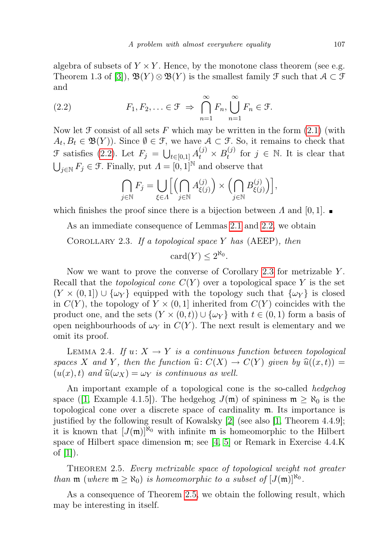algebra of subsets of  $Y \times Y$ . Hence, by the monotone class theorem (see e.g. Theorem 1.3 of [\[3\]](#page-3-0)),  $\mathfrak{B}(Y) \otimes \mathfrak{B}(Y)$  is the smallest family  $\mathfrak{F}$  such that  $\mathcal{A} \subset \mathfrak{F}$ and

<span id="page-2-0"></span>(2.2) 
$$
F_1, F_2, \ldots \in \mathcal{F} \implies \bigcap_{n=1}^{\infty} F_n, \bigcup_{n=1}^{\infty} F_n \in \mathcal{F}.
$$

Now let  $\mathcal F$  consist of all sets F which may be written in the form  $(2.1)$  (with  $A_t, B_t \in \mathfrak{B}(Y)$ . Since  $\emptyset \in \mathfrak{F}$ , we have  $\mathcal{A} \subset \mathfrak{F}$ . So, it remains to check that  $\mathcal F$  satisfies [\(2.2\)](#page-2-0). Let  $F_j = \bigcup_{t \in [0,1]} A_t^{(j)} \times B_t^{(j)}$  $t_i^{(j)}$  for  $j \in \mathbb{N}$ . It is clear that  $\bigcup_{j\in\mathbb{N}} F_j \in \mathcal{F}$ . Finally, put  $\Lambda = [0,1]^{\mathbb{N}}$  and observe that

$$
\bigcap_{j\in\mathbb{N}} F_j = \bigcup_{\xi\in\Lambda} \Biggl[ \Biggl( \bigcap_{j\in\mathbb{N}} A_{\xi(j)}^{(j)} \Biggr) \times \Biggl( \bigcap_{j\in\mathbb{N}} B_{\xi(j)}^{(j)} \Biggr) \Biggr],
$$

which finishes the proof since there is a bijection between  $\Lambda$  and  $[0, 1]$ .

<span id="page-2-1"></span>As an immediate consequence of Lemmas [2.1](#page-1-0) and [2.2,](#page-1-2) we obtain

COROLLARY 2.3. If a topological space Y has  $(AEEP)$ , then  $card(Y) \leq 2^{\aleph_0}.$ 

Now we want to prove the converse of Corollary [2.3](#page-2-1) for metrizable Y . Recall that the *topological cone*  $C(Y)$  over a topological space Y is the set  $(Y \times (0,1]) \cup \{\omega_Y\}$  equipped with the topology such that  $\{\omega_Y\}$  is closed in  $C(Y)$ , the topology of  $Y \times (0,1]$  inherited from  $C(Y)$  coincides with the product one, and the sets  $(Y \times (0,t)) \cup \{\omega_Y\}$  with  $t \in (0,1)$  form a basis of open neighbourhoods of  $\omega_Y$  in  $C(Y)$ . The next result is elementary and we omit its proof.

<span id="page-2-3"></span>LEMMA 2.4. If  $u: X \to Y$  is a continuous function between topological spaces X and Y, then the function  $\widehat{u}: C(X) \to C(Y)$  given by  $\widehat{u}((x, t)) =$  $(u(x), t)$  and  $\widehat{u}(\omega_X) = \omega_Y$  is continuous as well.

An important example of a topological cone is the so-called hedgehog space ([\[1,](#page-3-1) Example 4.1.5]). The hedgehog  $J(\mathfrak{m})$  of spininess  $\mathfrak{m} \geq \aleph_0$  is the topological cone over a discrete space of cardinality m. Its importance is justified by the following result of Kowalsky [\[2\]](#page-3-2) (see also [\[1,](#page-3-1) Theorem 4.4.9]; it is known that  $[J(m)]^{k_0}$  with infinite m is homeomorphic to the Hilbert space of Hilbert space dimension m; see [\[4,](#page-3-3) [5\]](#page-3-4) or Remark in Exercise 4.4.K of  $|1|$ ).

<span id="page-2-2"></span>THEOREM 2.5. Every metrizable space of topological weight not greater than  $\mathfrak{m}$  (where  $\mathfrak{m} \geq \aleph_0$ ) is homeomorphic to a subset of  $[J(\mathfrak{m})]^{\aleph_0}$ .

<span id="page-2-4"></span>As a consequence of Theorem [2.5,](#page-2-2) we obtain the following result, which may be interesting in itself.